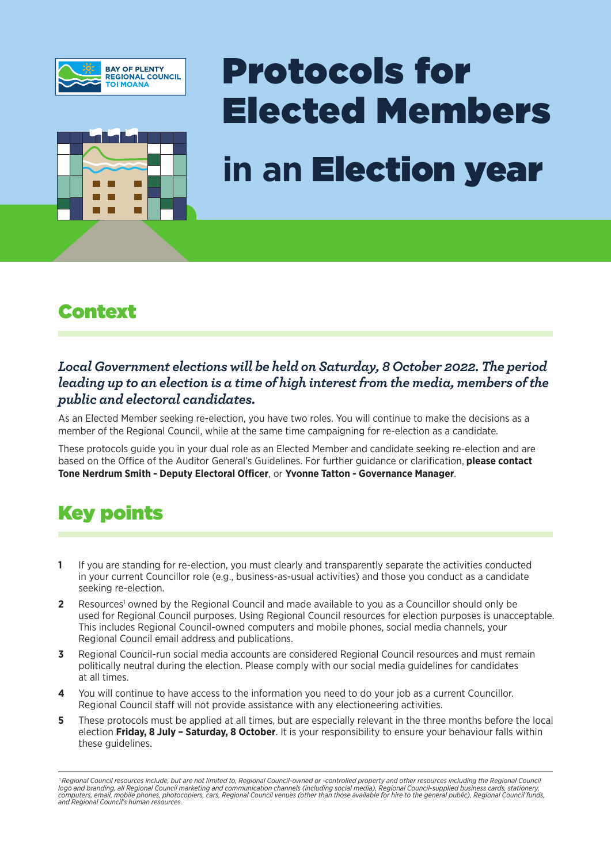



# Protocols for Elected Members **in an** Election year

#### Context

#### *Local Government elections will be held on Saturday, 8 October 2022. The period leading up to an election is a time of high interest from the media, members of the public and electoral candidates.*

As an Elected Member seeking re-election, you have two roles. You will continue to make the decisions as a member of the Regional Council, while at the same time campaigning for re-election as a candidate.

These protocols guide you in your dual role as an Elected Member and candidate seeking re-election and are based on the Office of the Auditor General's Guidelines. For further guidance or clarification, **please contact Tone Nerdrum Smith - Deputy Electoral Officer**, or **Yvonne Tatton - Governance Manager**.

# Key points

- **1** If you are standing for re-election, you must clearly and transparently separate the activities conducted in your current Councillor role (e.g., business-as-usual activities) and those you conduct as a candidate seeking re-election.
- **2** Resources<sup>1</sup> owned by the Regional Council and made available to you as a Councillor should only be used for Regional Council purposes. Using Regional Council resources for election purposes is unacceptable. This includes Regional Council-owned computers and mobile phones, social media channels, your Regional Council email address and publications.
- **3** Regional Council-run social media accounts are considered Regional Council resources and must remain politically neutral during the election. Please comply with our social media guidelines for candidates at all times.
- **4** You will continue to have access to the information you need to do your job as a current Councillor. Regional Council staff will not provide assistance with any electioneering activities.
- **5** These protocols must be applied at all times, but are especially relevant in the three months before the local election **Friday, 8 July – Saturday, 8 October**. It is your responsibility to ensure your behaviour falls within these guidelines.

<sup>1</sup>*Regional Council resources include, but are not limited to, Regional Council-owned or -controlled property and other resources including the Regional Council*  logo and branding, all Regional Council marketing and communication channels (including social media), Regional Council-supplied business cards, stationery,<br>computers, email, mobile phones, photocopiers, cars, Regional Cou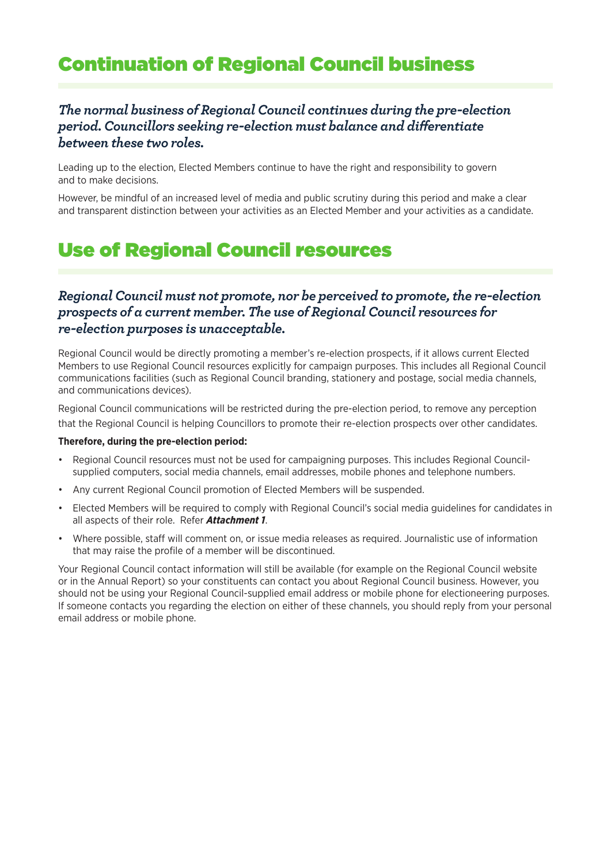## Continuation of Regional Council business

#### *The normal business of Regional Council continues during the pre-election period. Councillors seeking re-election must balance and differentiate between these two roles.*

Leading up to the election, Elected Members continue to have the right and responsibility to govern and to make decisions.

However, be mindful of an increased level of media and public scrutiny during this period and make a clear and transparent distinction between your activities as an Elected Member and your activities as a candidate.

## Use of Regional Council resources

#### *Regional Council must not promote, nor be perceived to promote, the re-election prospects of a current member. The use of Regional Council resources for re-election purposes is unacceptable.*

Regional Council would be directly promoting a member's re-election prospects, if it allows current Elected Members to use Regional Council resources explicitly for campaign purposes. This includes all Regional Council communications facilities (such as Regional Council branding, stationery and postage, social media channels, and communications devices).

Regional Council communications will be restricted during the pre-election period, to remove any perception that the Regional Council is helping Councillors to promote their re-election prospects over other candidates.

#### **Therefore, during the pre-election period:**

- Regional Council resources must not be used for campaigning purposes. This includes Regional Councilsupplied computers, social media channels, email addresses, mobile phones and telephone numbers.
- Any current Regional Council promotion of Elected Members will be suspended.
- Elected Members will be required to comply with Regional Council's social media guidelines for candidates in all aspects of their role. Refer *Attachment 1*.
- Where possible, staff will comment on, or issue media releases as required. Journalistic use of information that may raise the profile of a member will be discontinued.

Your Regional Council contact information will still be available (for example on the Regional Council website or in the Annual Report) so your constituents can contact you about Regional Council business. However, you should not be using your Regional Council-supplied email address or mobile phone for electioneering purposes. If someone contacts you regarding the election on either of these channels, you should reply from your personal email address or mobile phone.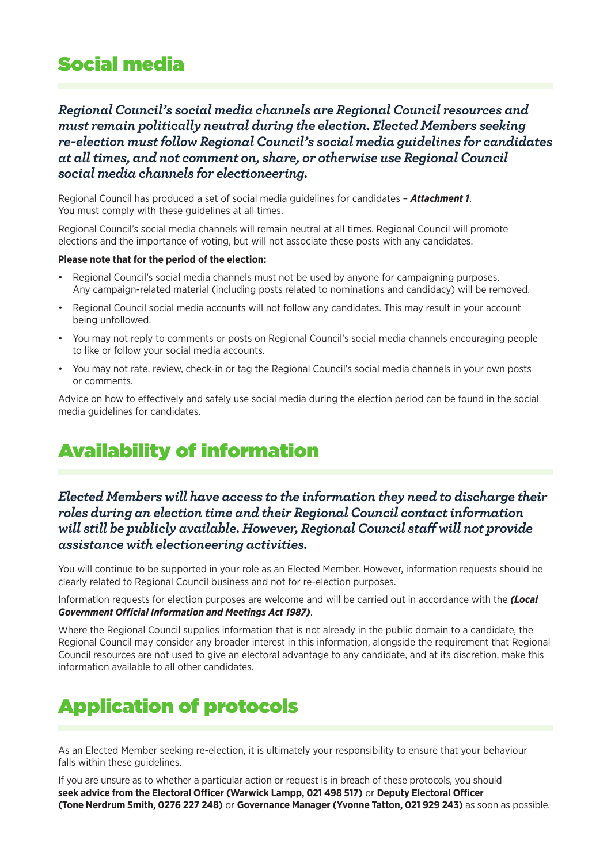## Social media

*Regional Council's social media channels are Regional Council resources and must remain politically neutral during the election. Elected Members seeking re-election must follow Regional Council's social media guidelines for candidates at all times, and not comment on, share, or otherwise use Regional Council social media channels for electioneering.*

Regional Council has produced a set of social media guidelines for candidates – *Attachment 1*. You must comply with these guidelines at all times.

Regional Council's social media channels will remain neutral at all times. Regional Council will promote elections and the importance of voting, but will not associate these posts with any candidates.

#### **Please note that for the period of the election:**

- Regional Council's social media channels must not be used by anyone for campaigning purposes. Any campaign-related material (including posts related to nominations and candidacy) will be removed.
- Regional Council social media accounts will not follow any candidates. This may result in your account being unfollowed.
- You may not reply to comments or posts on Regional Council's social media channels encouraging people to like or follow your social media accounts.
- You may not rate, review, check-in or tag the Regional Council's social media channels in your own posts or comments.

Advice on how to effectively and safely use social media during the election period can be found in the social media guidelines for candidates.

# Availability of information

#### *Elected Members will have access to the information they need to discharge their roles during an election time and their Regional Council contact information will still be publicly available. However, Regional Council staff will not provide assistance with electioneering activities.*

You will continue to be supported in your role as an Elected Member. However, information requests should be clearly related to Regional Council business and not for re-election purposes.

Information requests for election purposes are welcome and will be carried out in accordance with the *(Local Government Official Information and Meetings Act 1987)*.

Where the Regional Council supplies information that is not already in the public domain to a candidate, the Regional Council may consider any broader interest in this information, alongside the requirement that Regional Council resources are not used to give an electoral advantage to any candidate, and at its discretion, make this information available to all other candidates.

# Application of protocols

As an Elected Member seeking re-election, it is ultimately your responsibility to ensure that your behaviour falls within these guidelines.

If you are unsure as to whether a particular action or request is in breach of these protocols, you should **seek advice from the Electoral Officer (Warwick Lampp, 021 498 517)** or **Deputy Electoral Officer (Tone Nerdrum Smith, 0276 227 248)** or **Governance Manager (Yvonne Tatton, 021 929 243)** as soon as possible.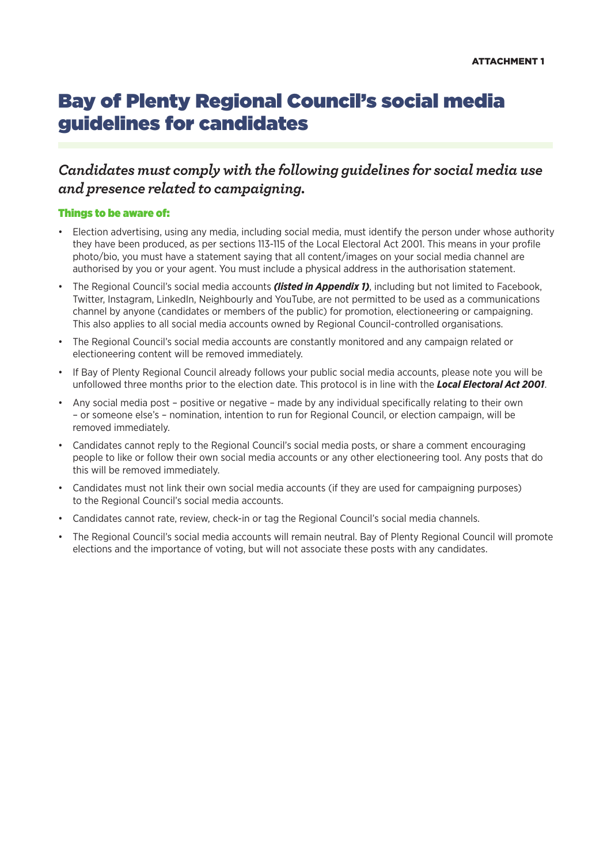## Bay of Plenty Regional Council's social media guidelines for candidates

#### *Candidates must comply with the following guidelines for social media use and presence related to campaigning.*

#### Things to be aware of:

- Election advertising, using any media, including social media, must identify the person under whose authority they have been produced, as per sections 113-115 of the Local Electoral Act 2001. This means in your profile photo/bio, you must have a statement saying that all content/images on your social media channel are authorised by you or your agent. You must include a physical address in the authorisation statement.
- The Regional Council's social media accounts *(listed in Appendix 1)*, including but not limited to Facebook, Twitter, Instagram, LinkedIn, Neighbourly and YouTube, are not permitted to be used as a communications channel by anyone (candidates or members of the public) for promotion, electioneering or campaigning. This also applies to all social media accounts owned by Regional Council-controlled organisations.
- The Regional Council's social media accounts are constantly monitored and any campaign related or electioneering content will be removed immediately.
- If Bay of Plenty Regional Council already follows your public social media accounts, please note you will be unfollowed three months prior to the election date. This protocol is in line with the *Local Electoral Act 2001*.
- Any social media post positive or negative made by any individual specifically relating to their own – or someone else's – nomination, intention to run for Regional Council, or election campaign, will be removed immediately.
- Candidates cannot reply to the Regional Council's social media posts, or share a comment encouraging people to like or follow their own social media accounts or any other electioneering tool. Any posts that do this will be removed immediately.
- Candidates must not link their own social media accounts (if they are used for campaigning purposes) to the Regional Council's social media accounts.
- Candidates cannot rate, review, check-in or tag the Regional Council's social media channels.
- The Regional Council's social media accounts will remain neutral. Bay of Plenty Regional Council will promote elections and the importance of voting, but will not associate these posts with any candidates.